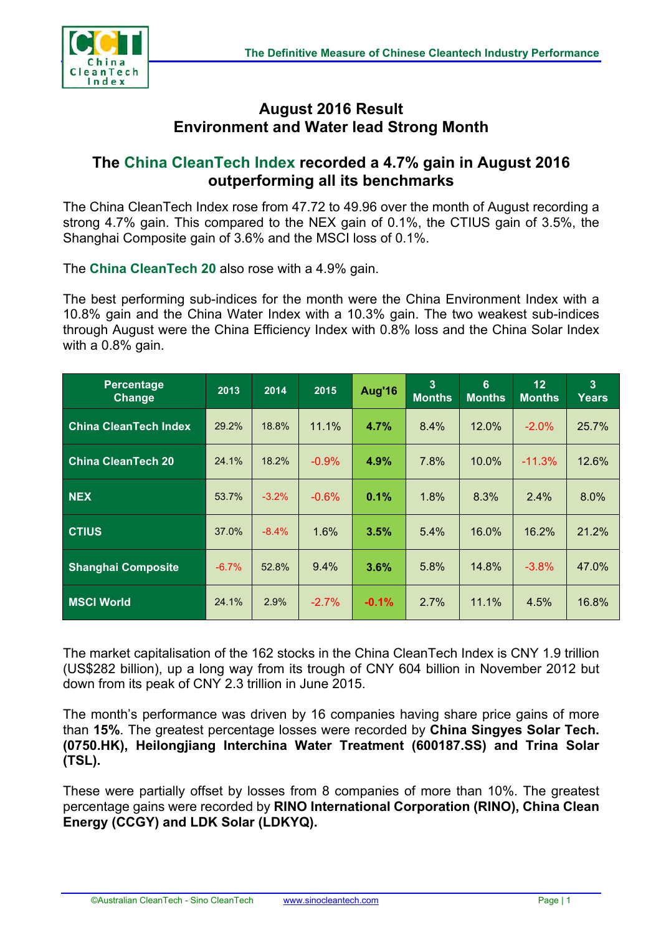

## **August 2016 Result Environment and Water lead Strong Month**

## **The China CleanTech Index recorded a 4.7% gain in August 2016 outperforming all its benchmarks**

The China CleanTech Index rose from 47.72 to 49.96 over the month of August recording a strong 4.7% gain. This compared to the NEX gain of 0.1%, the CTIUS gain of 3.5%, the Shanghai Composite gain of 3.6% and the MSCI loss of 0.1%.

The **China CleanTech 20** also rose with a 4.9% gain.

The best performing sub-indices for the month were the China Environment Index with a 10.8% gain and the China Water Index with a 10.3% gain. The two weakest sub-indices through August were the China Efficiency Index with 0.8% loss and the China Solar Index with a 0.8% gain.

| <b>Percentage</b><br><b>Change</b> | 2013    | 2014    | 2015     | Aug'16  | 3<br><b>Months</b> | 6<br><b>Months</b> | 12<br><b>Months</b> | $\overline{3}$<br>Years |
|------------------------------------|---------|---------|----------|---------|--------------------|--------------------|---------------------|-------------------------|
| <b>China CleanTech Index</b>       | 29.2%   | 18.8%   | 11.1%    | 4.7%    | 8.4%               | 12.0%              | $-2.0%$             | 25.7%                   |
| <b>China CleanTech 20</b>          | 24.1%   | 18.2%   | $-0.9\%$ | 4.9%    | 7.8%               | 10.0%              | $-11.3%$            | 12.6%                   |
| <b>NEX</b>                         | 53.7%   | $-3.2%$ | $-0.6\%$ | 0.1%    | 1.8%               | 8.3%               | 2.4%                | 8.0%                    |
| <b>CTIUS</b>                       | 37.0%   | $-8.4%$ | 1.6%     | 3.5%    | 5.4%               | 16.0%              | 16.2%               | 21.2%                   |
| <b>Shanghai Composite</b>          | $-6.7%$ | 52.8%   | 9.4%     | 3.6%    | 5.8%               | 14.8%              | $-3.8%$             | 47.0%                   |
| <b>MSCI World</b>                  | 24.1%   | 2.9%    | $-2.7\%$ | $-0.1%$ | 2.7%               | 11.1%              | 4.5%                | 16.8%                   |

The market capitalisation of the 162 stocks in the China CleanTech Index is CNY 1.9 trillion (US\$282 billion), up a long way from its trough of CNY 604 billion in November 2012 but down from its peak of CNY 2.3 trillion in June 2015.

The month's performance was driven by 16 companies having share price gains of more than **15%**. The greatest percentage losses were recorded by **China Singyes Solar Tech. (0750.HK), Heilongjiang Interchina Water Treatment (600187.SS) and Trina Solar (TSL).** 

These were partially offset by losses from 8 companies of more than 10%. The greatest percentage gains were recorded by **RINO International Corporation (RINO), China Clean Energy (CCGY) and LDK Solar (LDKYQ).**